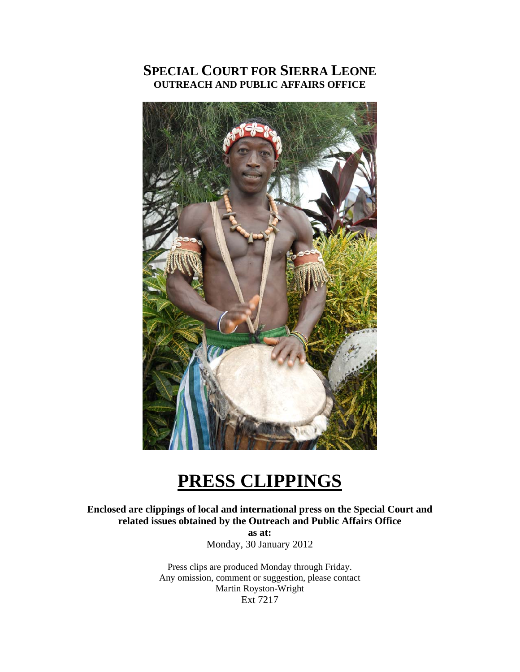# **SPECIAL COURT FOR SIERRA LEONE OUTREACH AND PUBLIC AFFAIRS OFFICE**



# **PRESS CLIPPINGS**

**Enclosed are clippings of local and international press on the Special Court and related issues obtained by the Outreach and Public Affairs Office** 

**as at:**  Monday, 30 January 2012

Press clips are produced Monday through Friday. Any omission, comment or suggestion, please contact Martin Royston-Wright Ext 7217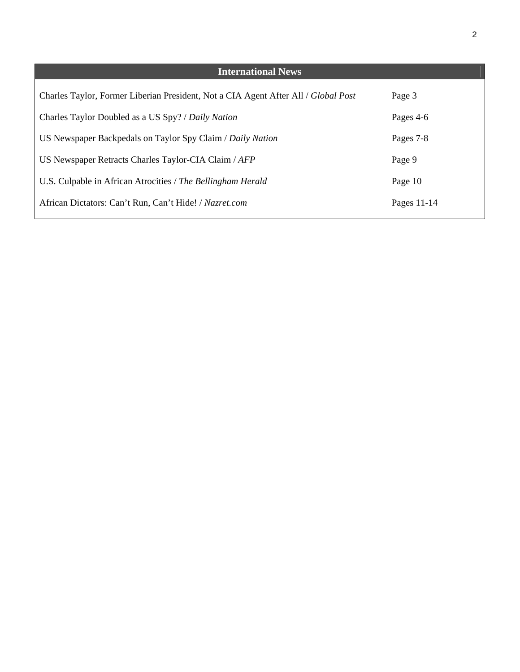| <b>International News</b>                                                          |             |
|------------------------------------------------------------------------------------|-------------|
| Charles Taylor, Former Liberian President, Not a CIA Agent After All / Global Post | Page 3      |
| Charles Taylor Doubled as a US Spy? / Daily Nation                                 | Pages 4-6   |
| US Newspaper Backpedals on Taylor Spy Claim / Daily Nation                         | Pages 7-8   |
| US Newspaper Retracts Charles Taylor-CIA Claim / AFP                               | Page 9      |
| U.S. Culpable in African Atrocities / The Bellingham Herald                        | Page 10     |
| African Dictators: Can't Run, Can't Hide! / Nazret.com                             | Pages 11-14 |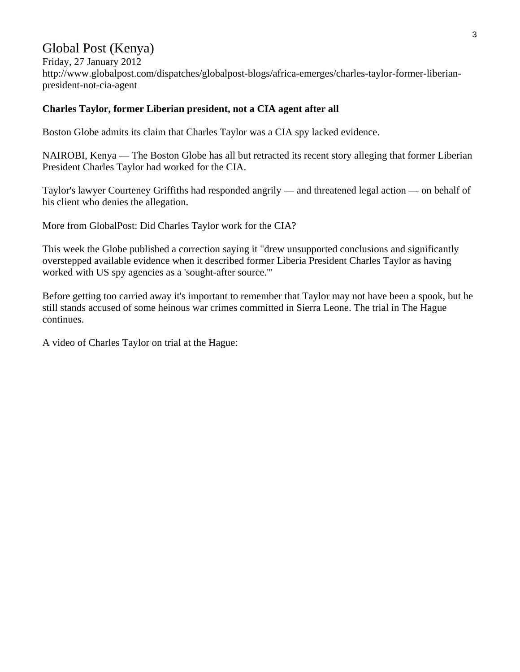# Global Post (Kenya)

Friday, 27 January 2012 http://www.globalpost.com/dispatches/globalpost-blogs/africa-emerges/charles-taylor-former-liberianpresident-not-cia-agent

### **Charles Taylor, former Liberian president, not a CIA agent after all**

Boston Globe admits its claim that Charles Taylor was a CIA spy lacked evidence.

NAIROBI, Kenya — The Boston Globe has all but retracted its recent story alleging that former Liberian President Charles Taylor had worked for the CIA.

Taylor's lawyer Courteney Griffiths had responded angrily — and threatened legal action — on behalf of his client who denies the allegation.

More from GlobalPost: Did Charles Taylor work for the CIA?

This week the Globe published a correction saying it "drew unsupported conclusions and significantly overstepped available evidence when it described former Liberia President Charles Taylor as having worked with US spy agencies as a 'sought-after source.'"

Before getting too carried away it's important to remember that Taylor may not have been a spook, but he still stands accused of some heinous war crimes committed in Sierra Leone. The trial in The Hague continues.

A video of Charles Taylor on trial at the Hague: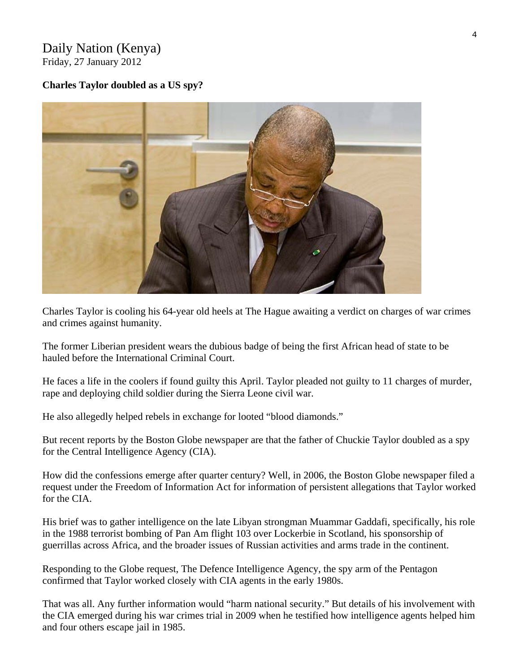### Daily Nation (Kenya) Friday, 27 January 2012

### **Charles Taylor doubled as a US spy?**



Charles Taylor is cooling his 64-year old heels at The Hague awaiting a verdict on charges of war crimes and crimes against humanity.

The former Liberian president wears the dubious badge of being the first African head of state to be hauled before the International Criminal Court.

He faces a life in the coolers if found guilty this April. Taylor pleaded not guilty to 11 charges of murder, rape and deploying child soldier during the Sierra Leone civil war.

He also allegedly helped rebels in exchange for looted "blood diamonds."

But recent reports by the Boston Globe newspaper are that the father of Chuckie Taylor doubled as a spy for the Central Intelligence Agency (CIA).

How did the confessions emerge after quarter century? Well, in 2006, the Boston Globe newspaper filed a request under the Freedom of Information Act for information of persistent allegations that Taylor worked for the CIA.

His brief was to gather intelligence on the late Libyan strongman Muammar Gaddafi, specifically, his role in the 1988 terrorist bombing of Pan Am flight 103 over Lockerbie in Scotland, his sponsorship of guerrillas across Africa, and the broader issues of Russian activities and arms trade in the continent.

Responding to the Globe request, The Defence Intelligence Agency, the spy arm of the Pentagon confirmed that Taylor worked closely with CIA agents in the early 1980s.

That was all. Any further information would "harm national security." But details of his involvement with the CIA emerged during his war crimes trial in 2009 when he testified how intelligence agents helped him and four others escape jail in 1985.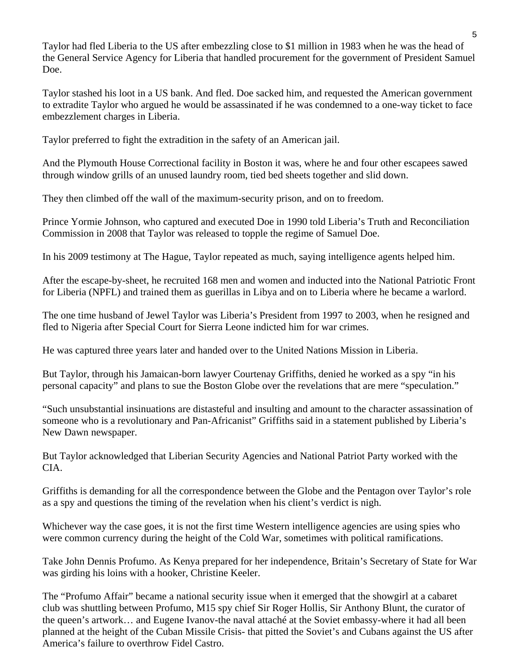Taylor had fled Liberia to the US after embezzling close to \$1 million in 1983 when he was the head of the General Service Agency for Liberia that handled procurement for the government of President Samuel Doe.

Taylor stashed his loot in a US bank. And fled. Doe sacked him, and requested the American government to extradite Taylor who argued he would be assassinated if he was condemned to a one-way ticket to face embezzlement charges in Liberia.

Taylor preferred to fight the extradition in the safety of an American jail.

And the Plymouth House Correctional facility in Boston it was, where he and four other escapees sawed through window grills of an unused laundry room, tied bed sheets together and slid down.

They then climbed off the wall of the maximum-security prison, and on to freedom.

Prince Yormie Johnson, who captured and executed Doe in 1990 told Liberia's Truth and Reconciliation Commission in 2008 that Taylor was released to topple the regime of Samuel Doe.

In his 2009 testimony at The Hague, Taylor repeated as much, saying intelligence agents helped him.

After the escape-by-sheet, he recruited 168 men and women and inducted into the National Patriotic Front for Liberia (NPFL) and trained them as guerillas in Libya and on to Liberia where he became a warlord.

The one time husband of Jewel Taylor was Liberia's President from 1997 to 2003, when he resigned and fled to Nigeria after Special Court for Sierra Leone indicted him for war crimes.

He was captured three years later and handed over to the United Nations Mission in Liberia.

But Taylor, through his Jamaican-born lawyer Courtenay Griffiths, denied he worked as a spy "in his personal capacity" and plans to sue the Boston Globe over the revelations that are mere "speculation."

"Such unsubstantial insinuations are distasteful and insulting and amount to the character assassination of someone who is a revolutionary and Pan-Africanist" Griffiths said in a statement published by Liberia's New Dawn newspaper.

But Taylor acknowledged that Liberian Security Agencies and National Patriot Party worked with the CIA.

Griffiths is demanding for all the correspondence between the Globe and the Pentagon over Taylor's role as a spy and questions the timing of the revelation when his client's verdict is nigh.

Whichever way the case goes, it is not the first time Western intelligence agencies are using spies who were common currency during the height of the Cold War, sometimes with political ramifications.

Take John Dennis Profumo. As Kenya prepared for her independence, Britain's Secretary of State for War was girding his loins with a hooker, Christine Keeler.

The "Profumo Affair" became a national security issue when it emerged that the showgirl at a cabaret club was shuttling between Profumo, M15 spy chief Sir Roger Hollis, Sir Anthony Blunt, the curator of the queen's artwork… and Eugene Ivanov-the naval attaché at the Soviet embassy-where it had all been planned at the height of the Cuban Missile Crisis- that pitted the Soviet's and Cubans against the US after America's failure to overthrow Fidel Castro.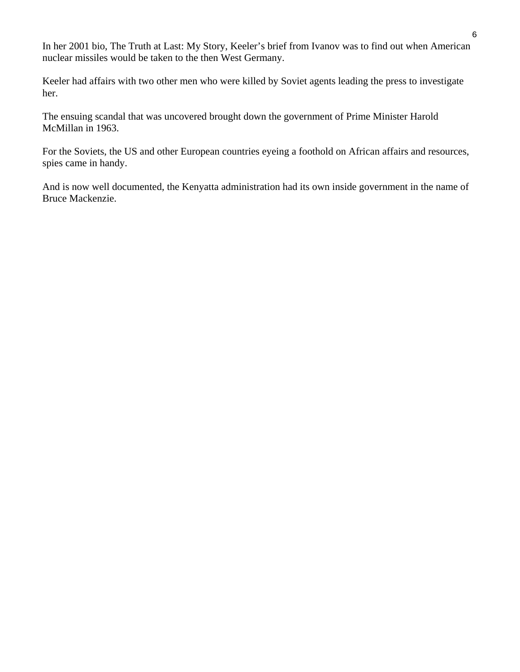In her 2001 bio, The Truth at Last: My Story, Keeler's brief from Ivanov was to find out when American nuclear missiles would be taken to the then West Germany.

Keeler had affairs with two other men who were killed by Soviet agents leading the press to investigate her.

The ensuing scandal that was uncovered brought down the government of Prime Minister Harold McMillan in 1963.

For the Soviets, the US and other European countries eyeing a foothold on African affairs and resources, spies came in handy.

And is now well documented, the Kenyatta administration had its own inside government in the name of Bruce Mackenzie.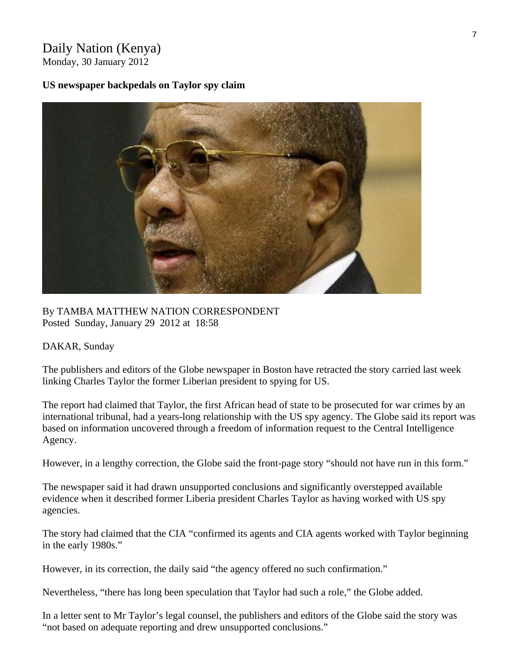## Daily Nation (Kenya) Monday, 30 January 2012

### **US newspaper backpedals on Taylor spy claim**



By TAMBA MATTHEW NATION CORRESPONDENT Posted Sunday, January 29 2012 at 18:58

### DAKAR, Sunday

The publishers and editors of the Globe newspaper in Boston have retracted the story carried last week linking Charles Taylor the former Liberian president to spying for US.

The report had claimed that Taylor, the first African head of state to be prosecuted for war crimes by an international tribunal, had a years-long relationship with the US spy agency. The Globe said its report was based on information uncovered through a freedom of information request to the Central Intelligence Agency.

However, in a lengthy correction, the Globe said the front-page story "should not have run in this form."

The newspaper said it had drawn unsupported conclusions and significantly overstepped available evidence when it described former Liberia president Charles Taylor as having worked with US spy agencies.

The story had claimed that the CIA "confirmed its agents and CIA agents worked with Taylor beginning in the early 1980s."

However, in its correction, the daily said "the agency offered no such confirmation."

Nevertheless, "there has long been speculation that Taylor had such a role," the Globe added.

In a letter sent to Mr Taylor's legal counsel, the publishers and editors of the Globe said the story was "not based on adequate reporting and drew unsupported conclusions."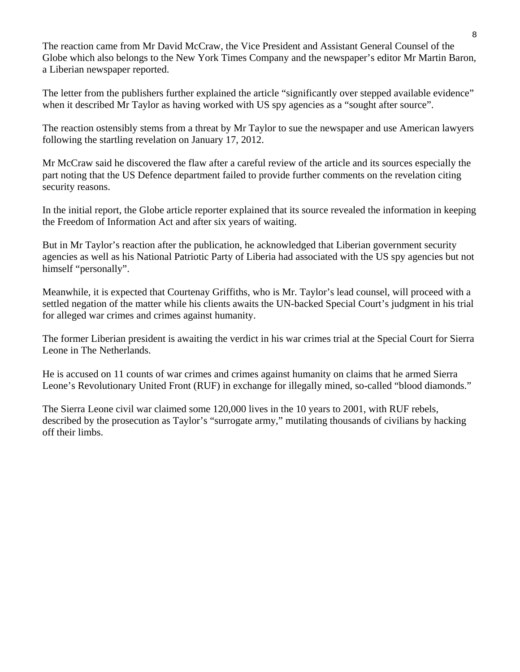The reaction came from Mr David McCraw, the Vice President and Assistant General Counsel of the Globe which also belongs to the New York Times Company and the newspaper's editor Mr Martin Baron, a Liberian newspaper reported.

The letter from the publishers further explained the article "significantly over stepped available evidence" when it described Mr Taylor as having worked with US spy agencies as a "sought after source".

The reaction ostensibly stems from a threat by Mr Taylor to sue the newspaper and use American lawyers following the startling revelation on January 17, 2012.

Mr McCraw said he discovered the flaw after a careful review of the article and its sources especially the part noting that the US Defence department failed to provide further comments on the revelation citing security reasons.

In the initial report, the Globe article reporter explained that its source revealed the information in keeping the Freedom of Information Act and after six years of waiting.

But in Mr Taylor's reaction after the publication, he acknowledged that Liberian government security agencies as well as his National Patriotic Party of Liberia had associated with the US spy agencies but not himself "personally".

Meanwhile, it is expected that Courtenay Griffiths, who is Mr. Taylor's lead counsel, will proceed with a settled negation of the matter while his clients awaits the UN-backed Special Court's judgment in his trial for alleged war crimes and crimes against humanity.

The former Liberian president is awaiting the verdict in his war crimes trial at the Special Court for Sierra Leone in The Netherlands.

He is accused on 11 counts of war crimes and crimes against humanity on claims that he armed Sierra Leone's Revolutionary United Front (RUF) in exchange for illegally mined, so-called "blood diamonds."

The Sierra Leone civil war claimed some 120,000 lives in the 10 years to 2001, with RUF rebels, described by the prosecution as Taylor's "surrogate army," mutilating thousands of civilians by hacking off their limbs.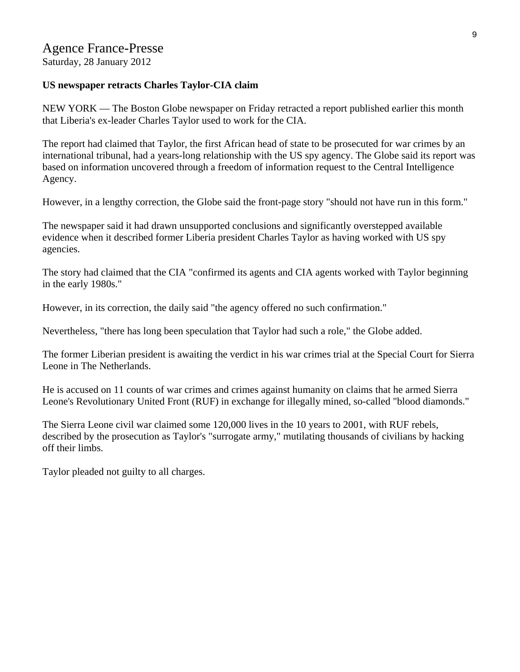Saturday, 28 January 2012

### **US newspaper retracts Charles Taylor-CIA claim**

NEW YORK — The Boston Globe newspaper on Friday retracted a report published earlier this month that Liberia's ex-leader Charles Taylor used to work for the CIA.

The report had claimed that Taylor, the first African head of state to be prosecuted for war crimes by an international tribunal, had a years-long relationship with the US spy agency. The Globe said its report was based on information uncovered through a freedom of information request to the Central Intelligence Agency.

However, in a lengthy correction, the Globe said the front-page story "should not have run in this form."

The newspaper said it had drawn unsupported conclusions and significantly overstepped available evidence when it described former Liberia president Charles Taylor as having worked with US spy agencies.

The story had claimed that the CIA "confirmed its agents and CIA agents worked with Taylor beginning in the early 1980s."

However, in its correction, the daily said "the agency offered no such confirmation."

Nevertheless, "there has long been speculation that Taylor had such a role," the Globe added.

The former Liberian president is awaiting the verdict in his war crimes trial at the Special Court for Sierra Leone in The Netherlands.

He is accused on 11 counts of war crimes and crimes against humanity on claims that he armed Sierra Leone's Revolutionary United Front (RUF) in exchange for illegally mined, so-called "blood diamonds."

The Sierra Leone civil war claimed some 120,000 lives in the 10 years to 2001, with RUF rebels, described by the prosecution as Taylor's "surrogate army," mutilating thousands of civilians by hacking off their limbs.

Taylor pleaded not guilty to all charges.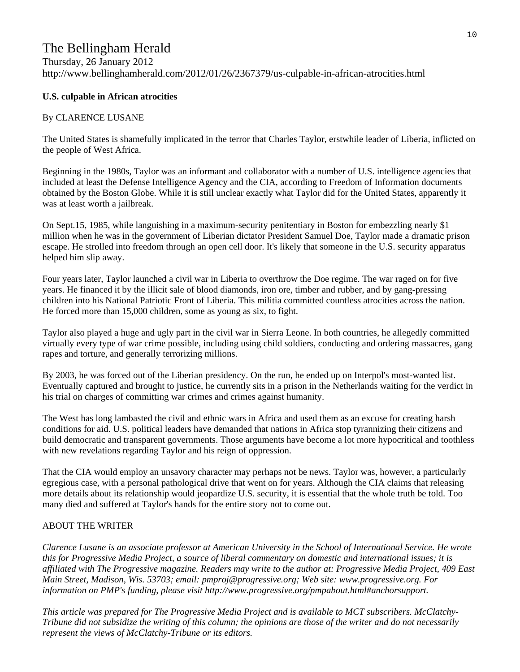# The Bellingham Herald

# Thursday, 26 January 2012 http://www.bellinghamherald.com/2012/01/26/2367379/us-culpable-in-african-atrocities.html

### **U.S. culpable in African atrocities**

#### By CLARENCE LUSANE

The United States is shamefully implicated in the terror that Charles Taylor, erstwhile leader of Liberia, inflicted on the people of West Africa.

Beginning in the 1980s, Taylor was an informant and collaborator with a number of U.S. intelligence agencies that included at least the Defense Intelligence Agency and the CIA, according to Freedom of Information documents obtained by the Boston Globe. While it is still unclear exactly what Taylor did for the United States, apparently it was at least worth a jailbreak.

On Sept.15, 1985, while languishing in a maximum-security penitentiary in Boston for embezzling nearly \$1 million when he was in the government of Liberian dictator President Samuel Doe, Taylor made a dramatic prison escape. He strolled into freedom through an open cell door. It's likely that someone in the U.S. security apparatus helped him slip away.

Four years later, Taylor launched a civil war in Liberia to overthrow the Doe regime. The war raged on for five years. He financed it by the illicit sale of blood diamonds, iron ore, timber and rubber, and by gang-pressing children into his National Patriotic Front of Liberia. This militia committed countless atrocities across the nation. He forced more than 15,000 children, some as young as six, to fight.

Taylor also played a huge and ugly part in the civil war in Sierra Leone. In both countries, he allegedly committed virtually every type of war crime possible, including using child soldiers, conducting and ordering massacres, gang rapes and torture, and generally terrorizing millions.

By 2003, he was forced out of the Liberian presidency. On the run, he ended up on Interpol's most-wanted list. Eventually captured and brought to justice, he currently sits in a prison in the Netherlands waiting for the verdict in his trial on charges of committing war crimes and crimes against humanity.

The West has long lambasted the civil and ethnic wars in Africa and used them as an excuse for creating harsh conditions for aid. U.S. political leaders have demanded that nations in Africa stop tyrannizing their citizens and build democratic and transparent governments. Those arguments have become a lot more hypocritical and toothless with new revelations regarding Taylor and his reign of oppression.

That the CIA would employ an unsavory character may perhaps not be news. Taylor was, however, a particularly egregious case, with a personal pathological drive that went on for years. Although the CIA claims that releasing more details about its relationship would jeopardize U.S. security, it is essential that the whole truth be told. Too many died and suffered at Taylor's hands for the entire story not to come out.

#### ABOUT THE WRITER

*Clarence Lusane is an associate professor at American University in the School of International Service. He wrote this for Progressive Media Project, a source of liberal commentary on domestic and international issues; it is affiliated with The Progressive magazine. Readers may write to the author at: Progressive Media Project, 409 East Main Street, Madison, Wis. 53703; email: pmproj@progressive.org; Web site: www.progressive.org. For information on PMP's funding, please visit http://www.progressive.org/pmpabout.html#anchorsupport.* 

*This article was prepared for The Progressive Media Project and is available to MCT subscribers. McClatchy-Tribune did not subsidize the writing of this column; the opinions are those of the writer and do not necessarily represent the views of McClatchy-Tribune or its editors.*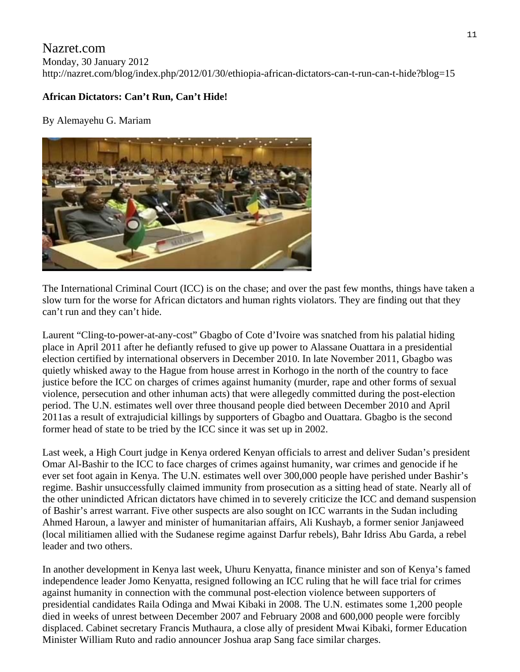# Nazret.com Monday, 30 January 2012 http://nazret.com/blog/index.php/2012/01/30/ethiopia-african-dictators-can-t-run-can-t-hide?blog=15

# **African Dictators: Can't Run, Can't Hide!**

By Alemayehu G. Mariam



The International Criminal Court (ICC) is on the chase; and over the past few months, things have taken a slow turn for the worse for African dictators and human rights violators. They are finding out that they can't run and they can't hide.

Laurent "Cling-to-power-at-any-cost" Gbagbo of Cote d'Ivoire was snatched from his palatial hiding place in April 2011 after he defiantly refused to give up power to Alassane Ouattara in a presidential election certified by international observers in December 2010. In late November 2011, Gbagbo was quietly whisked away to the Hague from house arrest in Korhogo in the north of the country to face justice before the ICC on charges of crimes against humanity (murder, rape and other forms of sexual violence, persecution and other inhuman acts) that were allegedly committed during the post-election period. The U.N. estimates well over three thousand people died between December 2010 and April 2011as a result of extrajudicial killings by supporters of Gbagbo and Ouattara. Gbagbo is the second former head of state to be tried by the ICC since it was set up in 2002.

Last week, a High Court judge in Kenya ordered Kenyan officials to arrest and deliver Sudan's president Omar Al-Bashir to the ICC to face charges of crimes against humanity, war crimes and genocide if he ever set foot again in Kenya. The U.N. estimates well over 300,000 people have perished under Bashir's regime. Bashir unsuccessfully claimed immunity from prosecution as a sitting head of state. Nearly all of the other unindicted African dictators have chimed in to severely criticize the ICC and demand suspension of Bashir's arrest warrant. Five other suspects are also sought on ICC warrants in the Sudan including Ahmed Haroun, a lawyer and minister of humanitarian affairs, Ali Kushayb, a former senior Janjaweed (local militiamen allied with the Sudanese regime against Darfur rebels), Bahr Idriss Abu Garda, a rebel leader and two others.

In another development in Kenya last week, Uhuru Kenyatta, finance minister and son of Kenya's famed independence leader Jomo Kenyatta, resigned following an ICC ruling that he will face trial for crimes against humanity in connection with the communal post-election violence between supporters of presidential candidates Raila Odinga and Mwai Kibaki in 2008. The U.N. estimates some 1,200 people died in weeks of unrest between December 2007 and February 2008 and 600,000 people were forcibly displaced. Cabinet secretary Francis Muthaura, a close ally of president Mwai Kibaki, former Education Minister William Ruto and radio announcer Joshua arap Sang face similar charges.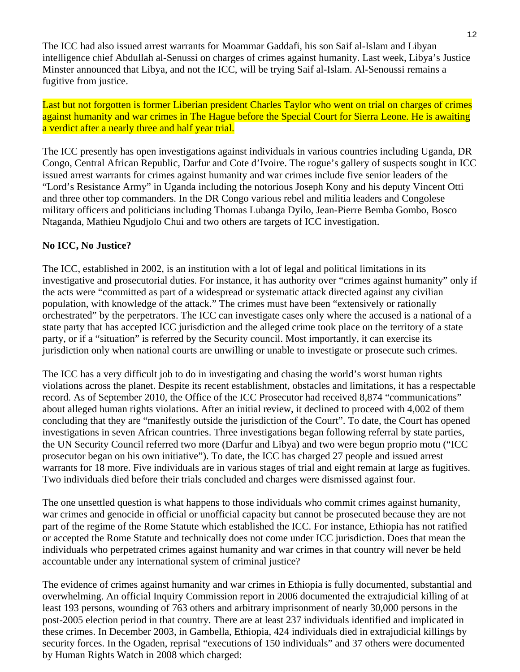The ICC had also issued arrest warrants for Moammar Gaddafi, his son Saif al-Islam and Libyan intelligence chief Abdullah al-Senussi on charges of crimes against humanity. Last week, Libya's Justice Minster announced that Libya, and not the ICC, will be trying Saif al-Islam. Al-Senoussi remains a fugitive from justice.

Last but not forgotten is former Liberian president Charles Taylor who went on trial on charges of crimes against humanity and war crimes in The Hague before the Special Court for Sierra Leone. He is awaiting a verdict after a nearly three and half year trial.

The ICC presently has open investigations against individuals in various countries including Uganda, DR Congo, Central African Republic, Darfur and Cote d'Ivoire. The rogue's gallery of suspects sought in ICC issued arrest warrants for crimes against humanity and war crimes include five senior leaders of the "Lord's Resistance Army" in Uganda including the notorious Joseph Kony and his deputy Vincent Otti and three other top commanders. In the DR Congo various rebel and militia leaders and Congolese military officers and politicians including Thomas Lubanga Dyilo, Jean-Pierre Bemba Gombo, Bosco Ntaganda, Mathieu Ngudjolo Chui and two others are targets of ICC investigation.

# **No ICC, No Justice?**

The ICC, established in 2002, is an institution with a lot of legal and political limitations in its investigative and prosecutorial duties. For instance, it has authority over "crimes against humanity" only if the acts were "committed as part of a widespread or systematic attack directed against any civilian population, with knowledge of the attack." The crimes must have been "extensively or rationally orchestrated" by the perpetrators. The ICC can investigate cases only where the accused is a national of a state party that has accepted ICC jurisdiction and the alleged crime took place on the territory of a state party, or if a "situation" is referred by the Security council. Most importantly, it can exercise its jurisdiction only when national courts are unwilling or unable to investigate or prosecute such crimes.

The ICC has a very difficult job to do in investigating and chasing the world's worst human rights violations across the planet. Despite its recent establishment, obstacles and limitations, it has a respectable record. As of September 2010, the Office of the ICC Prosecutor had received 8,874 "communications" about alleged human rights violations. After an initial review, it declined to proceed with 4,002 of them concluding that they are "manifestly outside the jurisdiction of the Court". To date, the Court has opened investigations in seven African countries. Three investigations began following referral by state parties, the UN Security Council referred two more (Darfur and Libya) and two were begun proprio motu ("ICC prosecutor began on his own initiative"). To date, the ICC has charged 27 people and issued arrest warrants for 18 more. Five individuals are in various stages of trial and eight remain at large as fugitives. Two individuals died before their trials concluded and charges were dismissed against four.

The one unsettled question is what happens to those individuals who commit crimes against humanity, war crimes and genocide in official or unofficial capacity but cannot be prosecuted because they are not part of the regime of the Rome Statute which established the ICC. For instance, Ethiopia has not ratified or accepted the Rome Statute and technically does not come under ICC jurisdiction. Does that mean the individuals who perpetrated crimes against humanity and war crimes in that country will never be held accountable under any international system of criminal justice?

The evidence of crimes against humanity and war crimes in Ethiopia is fully documented, substantial and overwhelming. An official Inquiry Commission report in 2006 documented the extrajudicial killing of at least 193 persons, wounding of 763 others and arbitrary imprisonment of nearly 30,000 persons in the post-2005 election period in that country. There are at least 237 individuals identified and implicated in these crimes. In December 2003, in Gambella, Ethiopia, 424 individuals died in extrajudicial killings by security forces. In the Ogaden, reprisal "executions of 150 individuals" and 37 others were documented by Human Rights Watch in 2008 which charged: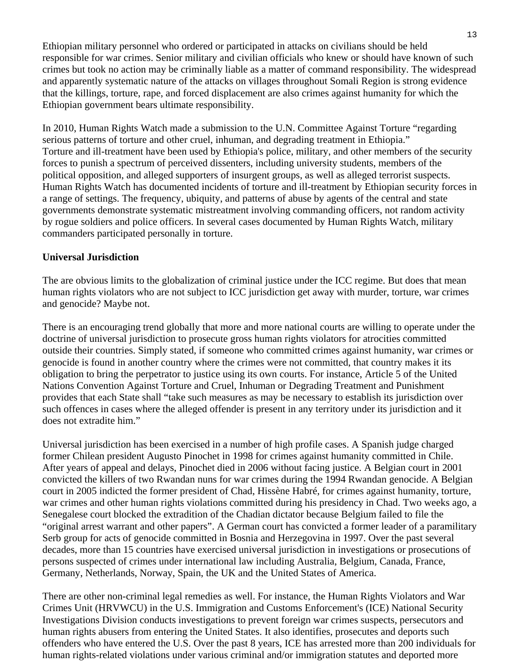Ethiopian military personnel who ordered or participated in attacks on civilians should be held responsible for war crimes. Senior military and civilian officials who knew or should have known of such crimes but took no action may be criminally liable as a matter of command responsibility. The widespread and apparently systematic nature of the attacks on villages throughout Somali Region is strong evidence that the killings, torture, rape, and forced displacement are also crimes against humanity for which the Ethiopian government bears ultimate responsibility.

In 2010, Human Rights Watch made a submission to the U.N. Committee Against Torture "regarding serious patterns of torture and other cruel, inhuman, and degrading treatment in Ethiopia." Torture and ill-treatment have been used by Ethiopia's police, military, and other members of the security forces to punish a spectrum of perceived dissenters, including university students, members of the political opposition, and alleged supporters of insurgent groups, as well as alleged terrorist suspects. Human Rights Watch has documented incidents of torture and ill-treatment by Ethiopian security forces in a range of settings. The frequency, ubiquity, and patterns of abuse by agents of the central and state governments demonstrate systematic mistreatment involving commanding officers, not random activity by rogue soldiers and police officers. In several cases documented by Human Rights Watch, military commanders participated personally in torture.

### **Universal Jurisdiction**

The are obvious limits to the globalization of criminal justice under the ICC regime. But does that mean human rights violators who are not subject to ICC jurisdiction get away with murder, torture, war crimes and genocide? Maybe not.

There is an encouraging trend globally that more and more national courts are willing to operate under the doctrine of universal jurisdiction to prosecute gross human rights violators for atrocities committed outside their countries. Simply stated, if someone who committed crimes against humanity, war crimes or genocide is found in another country where the crimes were not committed, that country makes it its obligation to bring the perpetrator to justice using its own courts. For instance, Article 5 of the United Nations Convention Against Torture and Cruel, Inhuman or Degrading Treatment and Punishment provides that each State shall "take such measures as may be necessary to establish its jurisdiction over such offences in cases where the alleged offender is present in any territory under its jurisdiction and it does not extradite him."

Universal jurisdiction has been exercised in a number of high profile cases. A Spanish judge charged former Chilean president Augusto Pinochet in 1998 for crimes against humanity committed in Chile. After years of appeal and delays, Pinochet died in 2006 without facing justice. A Belgian court in 2001 convicted the killers of two Rwandan nuns for war crimes during the 1994 Rwandan genocide. A Belgian court in 2005 indicted the former president of Chad, Hissène Habré, for crimes against humanity, torture, war crimes and other human rights violations committed during his presidency in Chad. Two weeks ago, a Senegalese court blocked the extradition of the Chadian dictator because Belgium failed to file the "original arrest warrant and other papers". A German court has convicted a former leader of a paramilitary Serb group for acts of genocide committed in Bosnia and Herzegovina in 1997. Over the past several decades, more than 15 countries have exercised universal jurisdiction in investigations or prosecutions of persons suspected of crimes under international law including Australia, Belgium, Canada, France, Germany, Netherlands, Norway, Spain, the UK and the United States of America.

There are other non-criminal legal remedies as well. For instance, the Human Rights Violators and War Crimes Unit (HRVWCU) in the U.S. Immigration and Customs Enforcement's (ICE) National Security Investigations Division conducts investigations to prevent foreign war crimes suspects, persecutors and human rights abusers from entering the United States. It also identifies, prosecutes and deports such offenders who have entered the U.S. Over the past 8 years, ICE has arrested more than 200 individuals for human rights-related violations under various criminal and/or immigration statutes and deported more